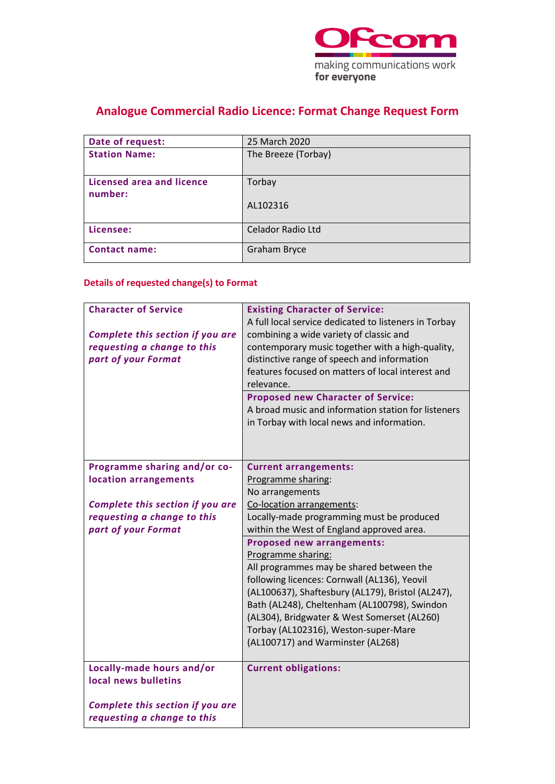

# **Analogue Commercial Radio Licence: Format Change Request Form**

| Date of request:                     | 25 March 2020       |
|--------------------------------------|---------------------|
| <b>Station Name:</b>                 | The Breeze (Torbay) |
| Licensed area and licence<br>number: | Torbay              |
|                                      | AL102316            |
| Licensee:                            | Celador Radio Ltd   |
| <b>Contact name:</b>                 | <b>Graham Bryce</b> |

## **Details of requested change(s) to Format**

| <b>Character of Service</b><br>Complete this section if you are<br>requesting a change to this<br>part of your Format | <b>Existing Character of Service:</b><br>A full local service dedicated to listeners in Torbay<br>combining a wide variety of classic and<br>contemporary music together with a high-quality,<br>distinctive range of speech and information<br>features focused on matters of local interest and<br>relevance.<br><b>Proposed new Character of Service:</b><br>A broad music and information station for listeners<br>in Torbay with local news and information. |
|-----------------------------------------------------------------------------------------------------------------------|-------------------------------------------------------------------------------------------------------------------------------------------------------------------------------------------------------------------------------------------------------------------------------------------------------------------------------------------------------------------------------------------------------------------------------------------------------------------|
| Programme sharing and/or co-                                                                                          | <b>Current arrangements:</b>                                                                                                                                                                                                                                                                                                                                                                                                                                      |
| location arrangements                                                                                                 | Programme sharing:                                                                                                                                                                                                                                                                                                                                                                                                                                                |
|                                                                                                                       | No arrangements                                                                                                                                                                                                                                                                                                                                                                                                                                                   |
| Complete this section if you are                                                                                      | Co-location arrangements:                                                                                                                                                                                                                                                                                                                                                                                                                                         |
| requesting a change to this                                                                                           | Locally-made programming must be produced                                                                                                                                                                                                                                                                                                                                                                                                                         |
| part of your Format                                                                                                   | within the West of England approved area.                                                                                                                                                                                                                                                                                                                                                                                                                         |
|                                                                                                                       | <b>Proposed new arrangements:</b>                                                                                                                                                                                                                                                                                                                                                                                                                                 |
|                                                                                                                       | Programme sharing:                                                                                                                                                                                                                                                                                                                                                                                                                                                |
|                                                                                                                       | All programmes may be shared between the                                                                                                                                                                                                                                                                                                                                                                                                                          |
|                                                                                                                       | following licences: Cornwall (AL136), Yeovil                                                                                                                                                                                                                                                                                                                                                                                                                      |
|                                                                                                                       | (AL100637), Shaftesbury (AL179), Bristol (AL247),                                                                                                                                                                                                                                                                                                                                                                                                                 |
|                                                                                                                       | Bath (AL248), Cheltenham (AL100798), Swindon                                                                                                                                                                                                                                                                                                                                                                                                                      |
|                                                                                                                       | (AL304), Bridgwater & West Somerset (AL260)                                                                                                                                                                                                                                                                                                                                                                                                                       |
|                                                                                                                       | Torbay (AL102316), Weston-super-Mare                                                                                                                                                                                                                                                                                                                                                                                                                              |
|                                                                                                                       | (AL100717) and Warminster (AL268)                                                                                                                                                                                                                                                                                                                                                                                                                                 |
| Locally-made hours and/or                                                                                             | <b>Current obligations:</b>                                                                                                                                                                                                                                                                                                                                                                                                                                       |
| local news bulletins                                                                                                  |                                                                                                                                                                                                                                                                                                                                                                                                                                                                   |
|                                                                                                                       |                                                                                                                                                                                                                                                                                                                                                                                                                                                                   |
| Complete this section if you are                                                                                      |                                                                                                                                                                                                                                                                                                                                                                                                                                                                   |
| requesting a change to this                                                                                           |                                                                                                                                                                                                                                                                                                                                                                                                                                                                   |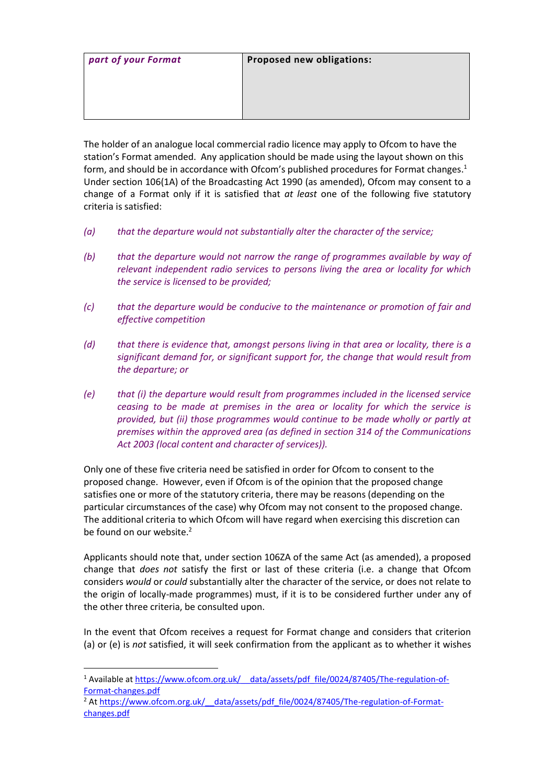| part of your Format | Proposed new obligations: |
|---------------------|---------------------------|
|                     |                           |
|                     |                           |
|                     |                           |

The holder of an analogue local commercial radio licence may apply to Ofcom to have the station's Format amended. Any application should be made using the layout shown on this form, and should be in accordance with Ofcom's published procedures for Format changes. 1 Under section 106(1A) of the Broadcasting Act 1990 (as amended), Ofcom may consent to a change of a Format only if it is satisfied that *at least* one of the following five statutory criteria is satisfied:

- *(a) that the departure would not substantially alter the character of the service;*
- *(b) that the departure would not narrow the range of programmes available by way of relevant independent radio services to persons living the area or locality for which the service is licensed to be provided;*
- *(c) that the departure would be conducive to the maintenance or promotion of fair and effective competition*
- *(d) that there is evidence that, amongst persons living in that area or locality, there is a significant demand for, or significant support for, the change that would result from the departure; or*
- *(e) that (i) the departure would result from programmes included in the licensed service ceasing to be made at premises in the area or locality for which the service is provided, but (ii) those programmes would continue to be made wholly or partly at premises within the approved area (as defined in section 314 of the Communications Act 2003 (local content and character of services)).*

Only one of these five criteria need be satisfied in order for Ofcom to consent to the proposed change. However, even if Ofcom is of the opinion that the proposed change satisfies one or more of the statutory criteria, there may be reasons (depending on the particular circumstances of the case) why Ofcom may not consent to the proposed change. The additional criteria to which Ofcom will have regard when exercising this discretion can be found on our website.<sup>2</sup>

Applicants should note that, under section 106ZA of the same Act (as amended), a proposed change that *does not* satisfy the first or last of these criteria (i.e. a change that Ofcom considers *would* or *could* substantially alter the character of the service, or does not relate to the origin of locally-made programmes) must, if it is to be considered further under any of the other three criteria, be consulted upon.

In the event that Ofcom receives a request for Format change and considers that criterion (a) or (e) is *not* satisfied, it will seek confirmation from the applicant as to whether it wishes

<sup>&</sup>lt;sup>1</sup> Available at https://www.ofcom.org.uk/ data/assets/pdf file/0024/87405/The-regulation-of-[Format-changes.pdf](https://www.ofcom.org.uk/__data/assets/pdf_file/0024/87405/The-regulation-of-Format-changes.pdf)

<sup>&</sup>lt;sup>2</sup> At https://www.ofcom.org.uk/ data/assets/pdf\_file/0024/87405/The-regulation-of-Format[changes.pdf](https://www.ofcom.org.uk/__data/assets/pdf_file/0024/87405/The-regulation-of-Format-changes.pdf)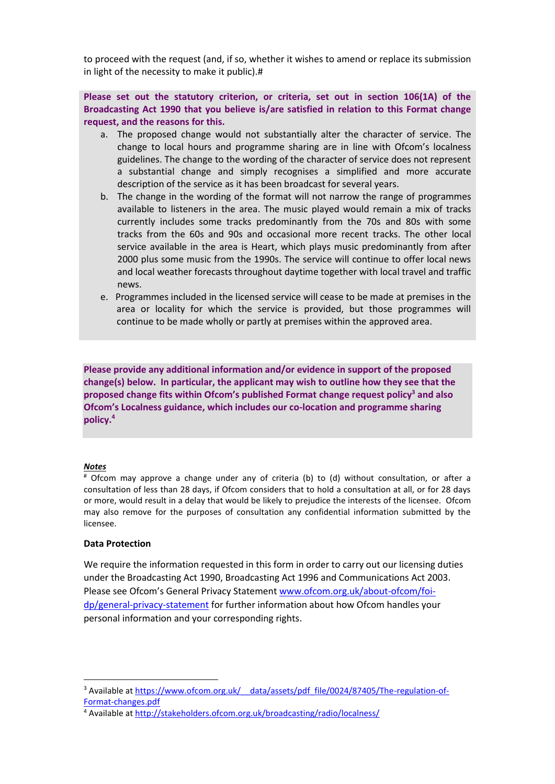to proceed with the request (and, if so, whether it wishes to amend or replace its submission in light of the necessity to make it public).#

### **Please set out the statutory criterion, or criteria, set out in section 106(1A) of the Broadcasting Act 1990 that you believe is/are satisfied in relation to this Format change request, and the reasons for this.**

- a. The proposed change would not substantially alter the character of service. The change to local hours and programme sharing are in line with Ofcom's localness guidelines. The change to the wording of the character of service does not represent a substantial change and simply recognises a simplified and more accurate description of the service as it has been broadcast for several years.
- b. The change in the wording of the format will not narrow the range of programmes available to listeners in the area. The music played would remain a mix of tracks currently includes some tracks predominantly from the 70s and 80s with some tracks from the 60s and 90s and occasional more recent tracks. The other local service available in the area is Heart, which plays music predominantly from after 2000 plus some music from the 1990s. The service will continue to offer local news and local weather forecasts throughout daytime together with local travel and traffic news.
- e. Programmes included in the licensed service will cease to be made at premises in the area or locality for which the service is provided, but those programmes will continue to be made wholly or partly at premises within the approved area.

**Please provide any additional information and/or evidence in support of the proposed change(s) below. In particular, the applicant may wish to outline how they see that the proposed change fits within Ofcom's published Format change request policy<sup>3</sup> and also Ofcom's Localness guidance, which includes our co-location and programme sharing policy. 4**

#### *Notes*

# Ofcom may approve a change under any of criteria (b) to (d) without consultation, or after a consultation of less than 28 days, if Ofcom considers that to hold a consultation at all, or for 28 days or more, would result in a delay that would be likely to prejudice the interests of the licensee. Ofcom may also remove for the purposes of consultation any confidential information submitted by the licensee.

#### **Data Protection**

We require the information requested in this form in order to carry out our licensing duties under the Broadcasting Act 1990, Broadcasting Act 1996 and Communications Act 2003. Please see Ofcom's General Privacy Statement [www.ofcom.org.uk/about-ofcom/foi](http://www.ofcom.org.uk/about-ofcom/foi-dp/general-privacy-statement)[dp/general-privacy-statement](http://www.ofcom.org.uk/about-ofcom/foi-dp/general-privacy-statement) for further information about how Ofcom handles your personal information and your corresponding rights.

<sup>&</sup>lt;sup>3</sup> Available at https://www.ofcom.org.uk/ data/assets/pdf\_file/0024/87405/The-regulation-of-[Format-changes.pdf](https://www.ofcom.org.uk/__data/assets/pdf_file/0024/87405/The-regulation-of-Format-changes.pdf)

<sup>4</sup> Available at<http://stakeholders.ofcom.org.uk/broadcasting/radio/localness/>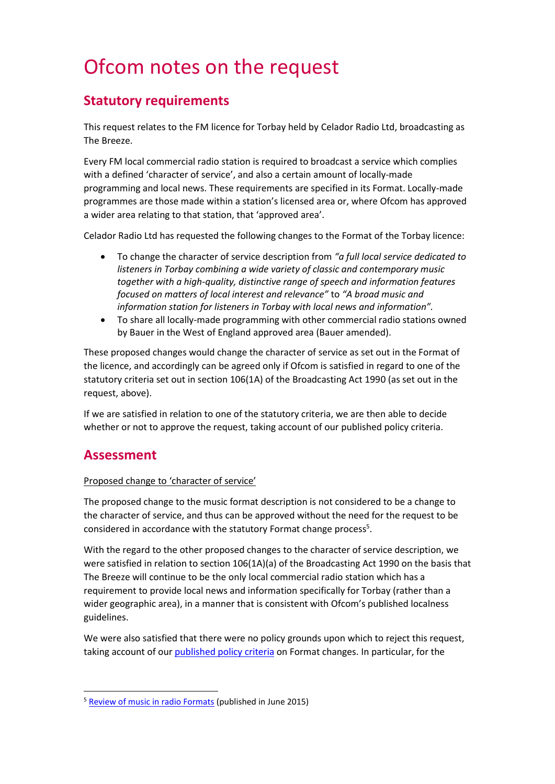# Ofcom notes on the request

## **Statutory requirements**

This request relates to the FM licence for Torbay held by Celador Radio Ltd, broadcasting as The Breeze.

Every FM local commercial radio station is required to broadcast a service which complies with a defined 'character of service', and also a certain amount of locally-made programming and local news. These requirements are specified in its Format. Locally-made programmes are those made within a station's licensed area or, where Ofcom has approved a wider area relating to that station, that 'approved area'.

Celador Radio Ltd has requested the following changes to the Format of the Torbay licence:

- To change the character of service description from *"a full local service dedicated to listeners in Torbay combining a wide variety of classic and contemporary music together with a high-quality, distinctive range of speech and information features focused on matters of local interest and relevance"* to *"A broad music and information station for listeners in Torbay with local news and information".*
- To share all locally-made programming with other commercial radio stations owned by Bauer in the West of England approved area (Bauer amended).

These proposed changes would change the character of service as set out in the Format of the licence, and accordingly can be agreed only if Ofcom is satisfied in regard to one of the statutory criteria set out in section 106(1A) of the Broadcasting Act 1990 (as set out in the request, above).

If we are satisfied in relation to one of the statutory criteria, we are then able to decide whether or not to approve the request, taking account of our published policy criteria.

## **Assessment**

## Proposed change to 'character of service'

The proposed change to the music format description is not considered to be a change to the character of service, and thus can be approved without the need for the request to be considered in accordance with the statutory Format change process<sup>5</sup>.

With the regard to the other proposed changes to the character of service description, we were satisfied in relation to section 106(1A)(a) of the Broadcasting Act 1990 on the basis that The Breeze will continue to be the only local commercial radio station which has a requirement to provide local news and information specifically for Torbay (rather than a wider geographic area), in a manner that is consistent with Ofcom's published localness guidelines.

We were also satisfied that there were no policy grounds upon which to reject this request, taking account of our published policy criteria on Format changes. In particular, for the

<sup>&</sup>lt;sup>5</sup> [Review of music in radio Formats](https://www.ofcom.org.uk/__data/assets/pdf_file/0025/51667/statement.pdf) (published in June 2015)